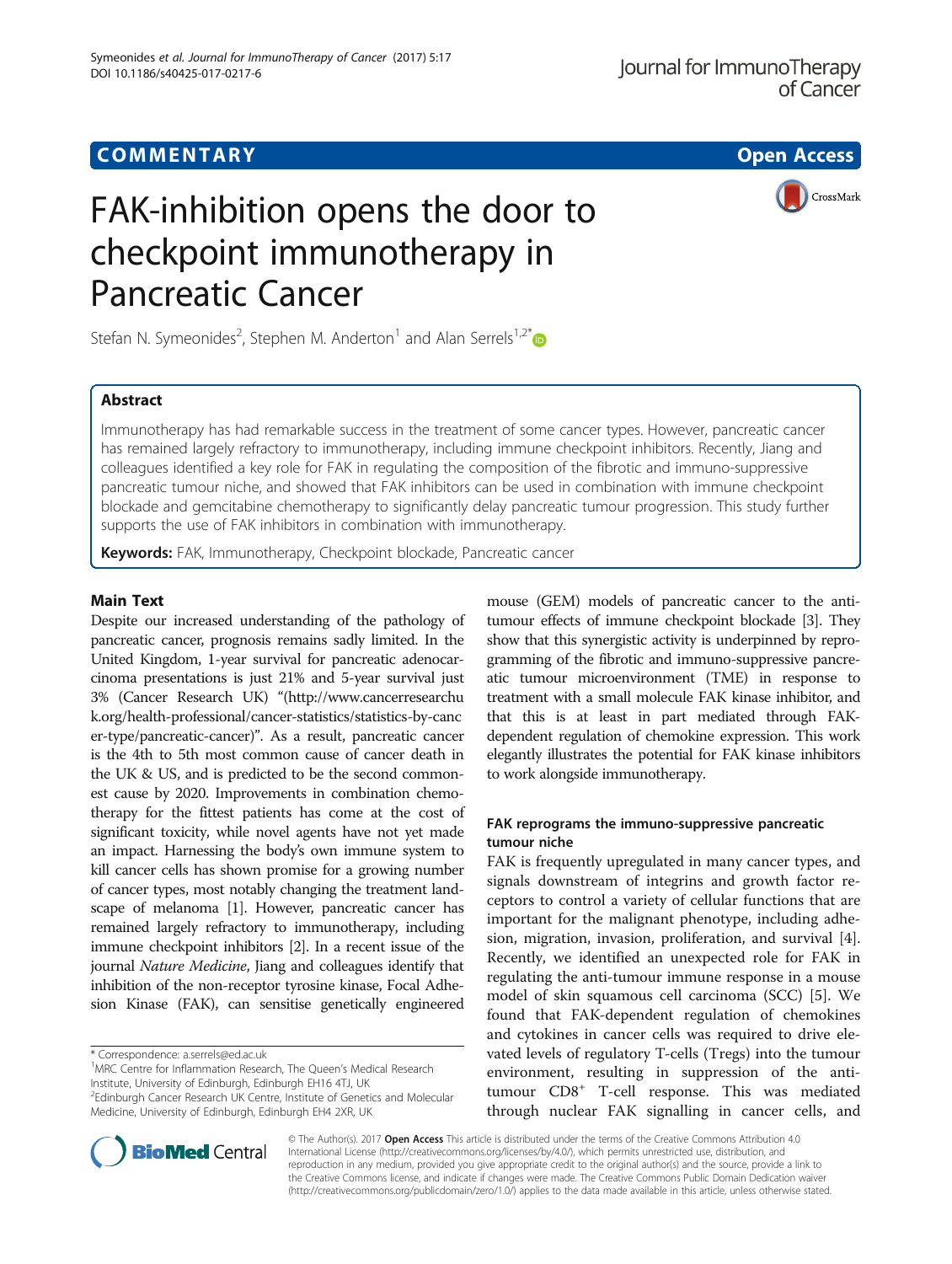# FAK-inhibition opens the door to checkpoint immunotherapy in Pancreatic Cancer



Stefan N. Symeonides<sup>2</sup>, Stephen M. Anderton<sup>1</sup> and Alan Serrels<sup>1,2[\\*](http://orcid.org/0000-0003-4992-6077)</sup>

# **Abstract**

Immunotherapy has had remarkable success in the treatment of some cancer types. However, pancreatic cancer has remained largely refractory to immunotherapy, including immune checkpoint inhibitors. Recently, Jiang and colleagues identified a key role for FAK in regulating the composition of the fibrotic and immuno-suppressive pancreatic tumour niche, and showed that FAK inhibitors can be used in combination with immune checkpoint blockade and gemcitabine chemotherapy to significantly delay pancreatic tumour progression. This study further supports the use of FAK inhibitors in combination with immunotherapy.

Keywords: FAK, Immunotherapy, Checkpoint blockade, Pancreatic cancer

Despite our increased understanding of the pathology of pancreatic cancer, prognosis remains sadly limited. In the United Kingdom, 1-year survival for pancreatic adenocarcinoma presentations is just 21% and 5-year survival just 3% (Cancer Research UK) "[\(http://www.cancerresearchu](http://www.cancerresearchuk.org/health-professional/cancer-statistics/statistics-by-cancer-type/pancreatic-cancer) [k.org/health-professional/cancer-statistics/statistics-by-canc](http://www.cancerresearchuk.org/health-professional/cancer-statistics/statistics-by-cancer-type/pancreatic-cancer) [er-type/pancreatic-cancer](http://www.cancerresearchuk.org/health-professional/cancer-statistics/statistics-by-cancer-type/pancreatic-cancer))". As a result, pancreatic cancer is the 4th to 5th most common cause of cancer death in the UK & US, and is predicted to be the second commonest cause by 2020. Improvements in combination chemotherapy for the fittest patients has come at the cost of significant toxicity, while novel agents have not yet made an impact. Harnessing the body's own immune system to kill cancer cells has shown promise for a growing number of cancer types, most notably changing the treatment landscape of melanoma [\[1\]](#page-2-0). However, pancreatic cancer has remained largely refractory to immunotherapy, including immune checkpoint inhibitors [[2](#page-2-0)]. In a recent issue of the journal Nature Medicine, Jiang and colleagues identify that inhibition of the non-receptor tyrosine kinase, Focal Adhesion Kinase (FAK), can sensitise genetically engineered

\* Correspondence: [a.serrels@ed.ac.uk](mailto:a.serrels@ed.ac.uk) <sup>1</sup>

<sup>1</sup>MRC Centre for Inflammation Research, The Queen's Medical Research Institute, University of Edinburgh, Edinburgh EH16 4TJ, UK <sup>2</sup>Edinburgh Cancer Research UK Centre, Institute of Genetics and Molecular

Medicine, University of Edinburgh, Edinburgh EH4 2XR, UK

mouse (GEM) models of pancreatic cancer to the antitumour effects of immune checkpoint blockade [\[3\]](#page-2-0). They show that this synergistic activity is underpinned by reprogramming of the fibrotic and immuno-suppressive pancreatic tumour microenvironment (TME) in response to treatment with a small molecule FAK kinase inhibitor, and that this is at least in part mediated through FAKdependent regulation of chemokine expression. This work elegantly illustrates the potential for FAK kinase inhibitors to work alongside immunotherapy.

# FAK reprograms the immuno-suppressive pancreatic tumour niche

FAK is frequently upregulated in many cancer types, and signals downstream of integrins and growth factor receptors to control a variety of cellular functions that are important for the malignant phenotype, including adhesion, migration, invasion, proliferation, and survival [\[4](#page-2-0)]. Recently, we identified an unexpected role for FAK in regulating the anti-tumour immune response in a mouse model of skin squamous cell carcinoma (SCC) [[5\]](#page-2-0). We found that FAK-dependent regulation of chemokines and cytokines in cancer cells was required to drive elevated levels of regulatory T-cells (Tregs) into the tumour environment, resulting in suppression of the antitumour CD8<sup>+</sup> T-cell response. This was mediated through nuclear FAK signalling in cancer cells, and



© The Author(s). 2017 Open Access This article is distributed under the terms of the Creative Commons Attribution 4.0 International License [\(http://creativecommons.org/licenses/by/4.0/](http://creativecommons.org/licenses/by/4.0/)), which permits unrestricted use, distribution, and reproduction in any medium, provided you give appropriate credit to the original author(s) and the source, provide a link to the Creative Commons license, and indicate if changes were made. The Creative Commons Public Domain Dedication waiver [\(http://creativecommons.org/publicdomain/zero/1.0/](http://creativecommons.org/publicdomain/zero/1.0/)) applies to the data made available in this article, unless otherwise stated.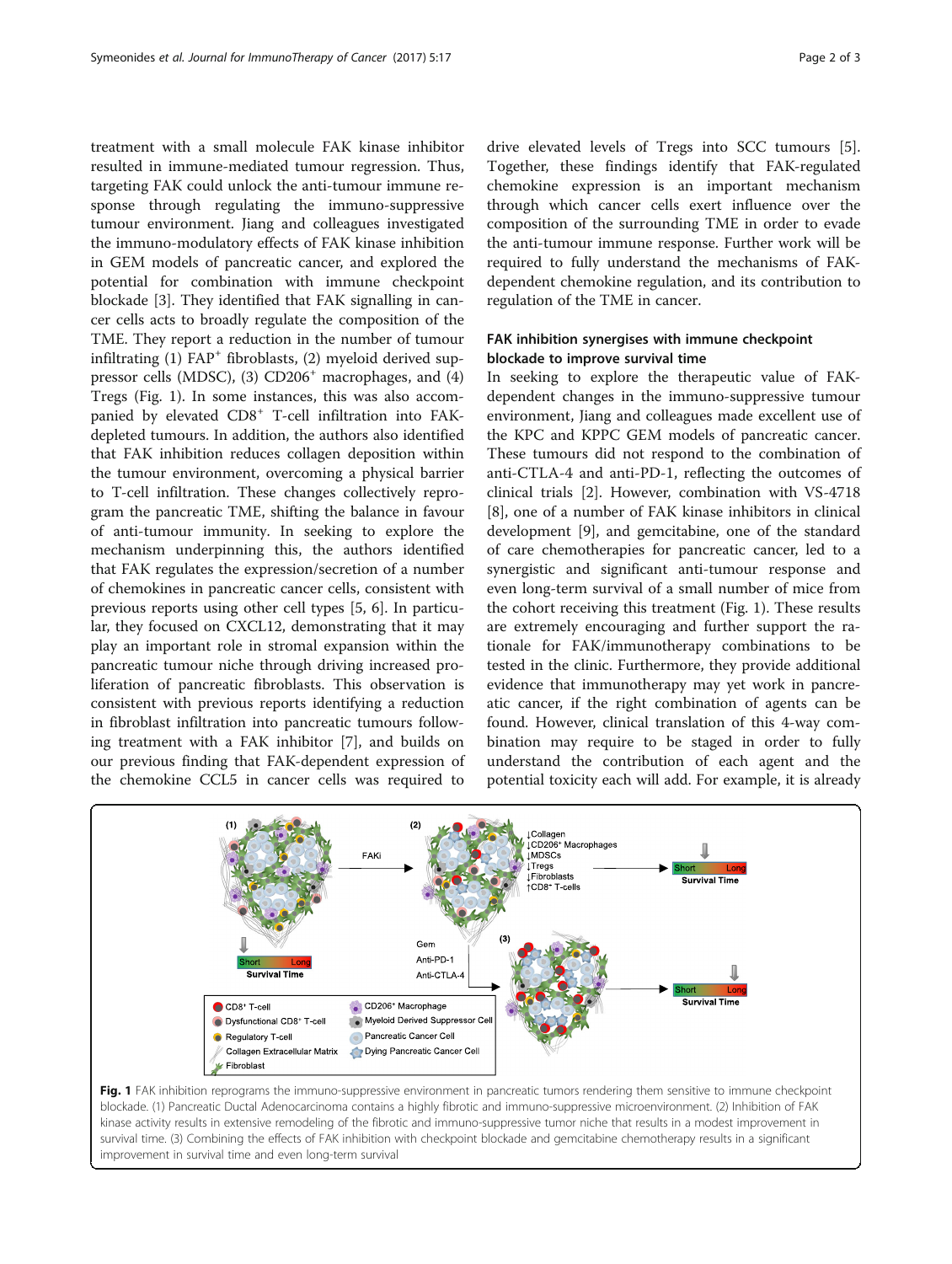treatment with a small molecule FAK kinase inhibitor resulted in immune-mediated tumour regression. Thus, targeting FAK could unlock the anti-tumour immune response through regulating the immuno-suppressive tumour environment. Jiang and colleagues investigated the immuno-modulatory effects of FAK kinase inhibition in GEM models of pancreatic cancer, and explored the potential for combination with immune checkpoint blockade [\[3](#page-2-0)]. They identified that FAK signalling in cancer cells acts to broadly regulate the composition of the TME. They report a reduction in the number of tumour infiltrating  $(1)$  FAP<sup>+</sup> fibroblasts,  $(2)$  myeloid derived suppressor cells (MDSC), (3)  $CD206<sup>+</sup>$  macrophages, and (4) Tregs (Fig. 1). In some instances, this was also accompanied by elevated CD8<sup>+</sup> T-cell infiltration into FAKdepleted tumours. In addition, the authors also identified that FAK inhibition reduces collagen deposition within the tumour environment, overcoming a physical barrier to T-cell infiltration. These changes collectively reprogram the pancreatic TME, shifting the balance in favour of anti-tumour immunity. In seeking to explore the mechanism underpinning this, the authors identified that FAK regulates the expression/secretion of a number of chemokines in pancreatic cancer cells, consistent with previous reports using other cell types [\[5](#page-2-0), [6](#page-2-0)]. In particular, they focused on CXCL12, demonstrating that it may play an important role in stromal expansion within the pancreatic tumour niche through driving increased proliferation of pancreatic fibroblasts. This observation is consistent with previous reports identifying a reduction in fibroblast infiltration into pancreatic tumours following treatment with a FAK inhibitor [\[7](#page-2-0)], and builds on our previous finding that FAK-dependent expression of the chemokine CCL5 in cancer cells was required to drive elevated levels of Tregs into SCC tumours [\[5](#page-2-0)]. Together, these findings identify that FAK-regulated chemokine expression is an important mechanism through which cancer cells exert influence over the composition of the surrounding TME in order to evade the anti-tumour immune response. Further work will be required to fully understand the mechanisms of FAKdependent chemokine regulation, and its contribution to regulation of the TME in cancer.

## FAK inhibition synergises with immune checkpoint blockade to improve survival time

In seeking to explore the therapeutic value of FAKdependent changes in the immuno-suppressive tumour environment, Jiang and colleagues made excellent use of the KPC and KPPC GEM models of pancreatic cancer. These tumours did not respond to the combination of anti-CTLA-4 and anti-PD-1, reflecting the outcomes of clinical trials [[2\]](#page-2-0). However, combination with VS-4718 [[8\]](#page-2-0), one of a number of FAK kinase inhibitors in clinical development [[9\]](#page-2-0), and gemcitabine, one of the standard of care chemotherapies for pancreatic cancer, led to a synergistic and significant anti-tumour response and even long-term survival of a small number of mice from the cohort receiving this treatment (Fig. 1). These results are extremely encouraging and further support the rationale for FAK/immunotherapy combinations to be tested in the clinic. Furthermore, they provide additional evidence that immunotherapy may yet work in pancreatic cancer, if the right combination of agents can be found. However, clinical translation of this 4-way combination may require to be staged in order to fully understand the contribution of each agent and the potential toxicity each will add. For example, it is already